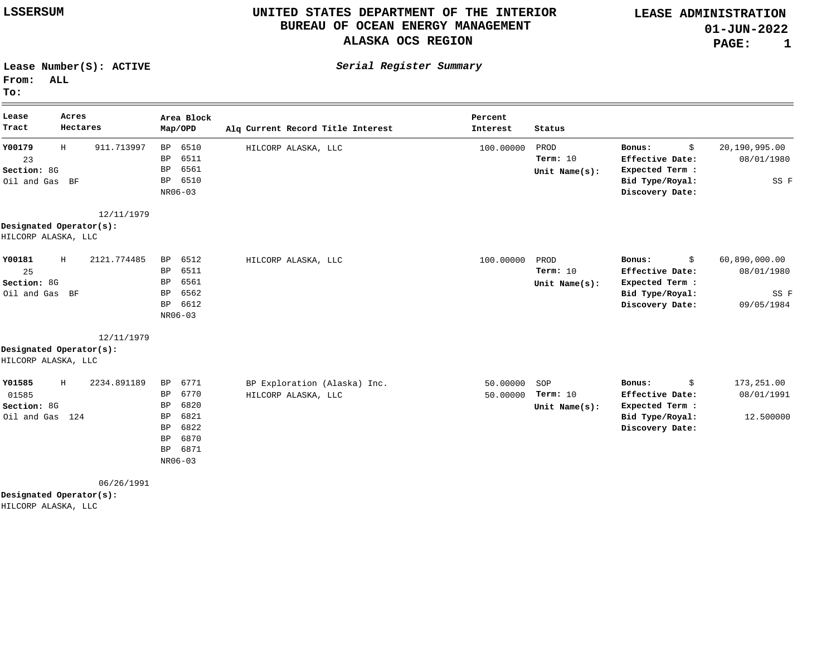**LEASE ADMINISTRATION 01-JUN-2022 PAGE: 1**

**Lease Number(S): ACTIVE**

**From: ALL**

**To:**

| Lease<br>Tract          | Acres<br>Hectares | Area Block<br>Map/OPD    | Alq Current Record Title Interest | Percent<br>Interest | Status            |                                 |                             |
|-------------------------|-------------------|--------------------------|-----------------------------------|---------------------|-------------------|---------------------------------|-----------------------------|
| Y00179<br>Η<br>23       | 911.713997        | 6510<br>BP<br>6511<br>BP | HILCORP ALASKA, LLC               | 100.00000           | PROD<br>Term: 10  | \$<br>Bonus:<br>Effective Date: | 20,190,995.00<br>08/01/1980 |
| Section: 8G             |                   | 6561<br>BP               |                                   |                     | Unit Name $(s)$ : | Expected Term :                 |                             |
| Oil and Gas BF          |                   | 6510<br>BP               |                                   |                     |                   | Bid Type/Royal:                 | SS F                        |
|                         |                   | NR06-03                  |                                   |                     |                   | Discovery Date:                 |                             |
|                         | 12/11/1979        |                          |                                   |                     |                   |                                 |                             |
| Designated Operator(s): |                   |                          |                                   |                     |                   |                                 |                             |
| HILCORP ALASKA, LLC     |                   |                          |                                   |                     |                   |                                 |                             |
| Y00181<br>Η             | 2121.774485       | 6512<br>BP               | HILCORP ALASKA, LLC               | 100.00000           | PROD              | \$<br>Bonus:                    | 60,890,000.00               |
| 25                      |                   | 6511<br>BP               |                                   |                     | Term: $10$        | Effective Date:                 | 08/01/1980                  |
| Section: 8G             |                   | 6561<br>BP               |                                   |                     | Unit Name $(s)$ : | Expected Term :                 |                             |
| Oil and Gas BF          |                   | 6562<br>BP               |                                   |                     |                   | Bid Type/Royal:                 | SS F                        |
|                         |                   | 6612<br>BP               |                                   |                     |                   | Discovery Date:                 | 09/05/1984                  |
|                         |                   | NR06-03                  |                                   |                     |                   |                                 |                             |
|                         | 12/11/1979        |                          |                                   |                     |                   |                                 |                             |
| Designated Operator(s): |                   |                          |                                   |                     |                   |                                 |                             |
| HILCORP ALASKA, LLC     |                   |                          |                                   |                     |                   |                                 |                             |
| Y01585<br>Н             | 2234.891189       | 6771<br>BP               | BP Exploration (Alaska) Inc.      | 50.00000            | SOP               | \$<br>Bonus:                    | 173,251.00                  |
| 01585                   |                   | 6770<br>BP               | HILCORP ALASKA, LLC               | 50.00000            | Term: 10          | Effective Date:                 | 08/01/1991                  |
| Section: 8G             |                   | 6820<br>BP               |                                   |                     | Unit Name $(s)$ : | Expected Term :                 |                             |
| Oil and Gas             | 124               | 6821<br>BP               |                                   |                     |                   | Bid Type/Royal:                 | 12.500000                   |
|                         |                   | 6822<br><b>BP</b>        |                                   |                     |                   | Discovery Date:                 |                             |
|                         |                   | 6870<br>BP               |                                   |                     |                   |                                 |                             |
|                         |                   | 6871<br>BP               |                                   |                     |                   |                                 |                             |
|                         |                   | NR06-03                  |                                   |                     |                   |                                 |                             |

06/26/1991

**Designated Operator(s):**

HILCORP ALASKA, LLC

**Serial Register Summary**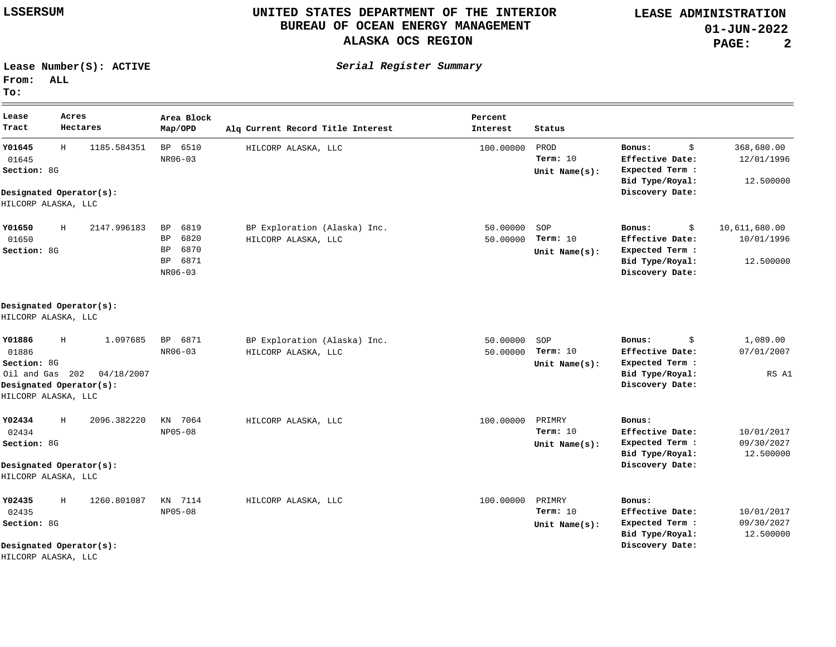**Serial Register Summary**

**LEASE ADMINISTRATION 01-JUN-2022 PAGE: 2**

**Lease Number(S): ACTIVE**

**From: ALL**

**To:**

**Lease Tract Acres Hectares Area Block**  $Map/OPD$ **Percent Current Record Title Interest Interest Status Y01645 Y01650 Y01886 Y02434 Y02435** 01645 01650 01886 02434 02435 Oil and Gas 202 04/18/2007 H H  $\,$  H H H Section: 8G Section: 8G Section: 8G Section: 8G Section: 8G 1185.584351 2147.996183 1.097685 2096.382220 1260.801087 BP 6510 BP 6819 BP 6820 BP 6870 BP 6871 BP 6871 KN 7064 KN 7114 NR06-03 NR06-03 NR06-03 NP05-08 NP05-08 **Designated Operator(s): Designated Operator(s): Designated Operator(s): Designated Operator(s): Designated Operator(s):** HILCORP ALASKA, LLC HILCORP ALASKA, LLC HILCORP ALASKA, LLC HILCORP ALASKA, LLC HILCORP ALASKA, LLC \$ 368,680.00 \$ 10,611,680.00 \$ 1,089.00 **Bonus: Bonus: Bonus: Bonus: Bonus:** 12/01/1996 10/01/1996 07/01/2007 10/01/2017 10/01/2017 **Effective Date: Effective Date: Effective Date: Effective Date: Effective Date:** 09/30/2027 09/30/2027 **Expected Term : Expected Term : Expected Term : Expected Term : Expected Term :** 12.500000 12.500000 RS A1 12.500000 12.500000 **Bid Type/Royal: Bid Type/Royal: Bid Type/Royal: Bid Type/Royal: Bid Type/Royal: Discovery Date: Discovery Date: Discovery Date: Discovery Date: Discovery Date:** HILCORP ALASKA, LLC BP Exploration (Alaska) Inc. HILCORP ALASKA, LLC BP Exploration (Alaska) Inc. HILCORP ALASKA, LLC HILCORP ALASKA, LLC HILCORP ALASKA, LLC 100.00000 50.00000 50.00000 50.00000 50.00000 100.00000 PRIMRY 100.00000 **Unit Name(s): Unit Name(s): Unit Name(s): Unit Name(s): Unit Name(s):** PROD SOP SOP PRIMRY 10 **Term:** 10 **Term:** 10 **Term:** 10 **Term:** 10 **Term:**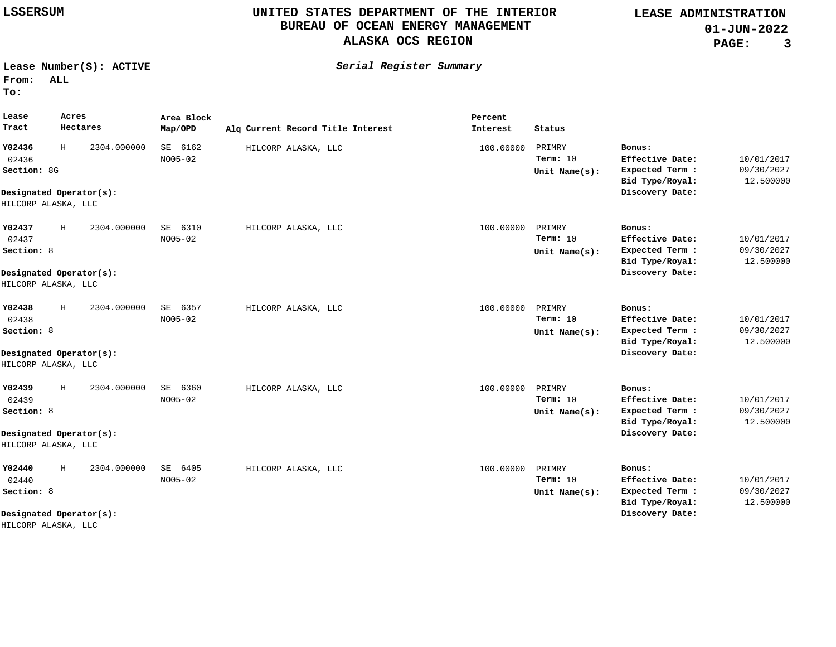**LEASE ADMINISTRATION 01-JUN-2022 PAGE: 3**

 $\equiv$ 

**Lease Number(S): ACTIVE**

**Serial Register Summary**

**From: ALL To:**

| Lease<br>Tract                                        | Acres<br>Hectares                           | Area Block<br>Map/OPD     | Alg Current Record Title Interest | Percent<br>Interest | Status                                    |                                                                                    |                                       |
|-------------------------------------------------------|---------------------------------------------|---------------------------|-----------------------------------|---------------------|-------------------------------------------|------------------------------------------------------------------------------------|---------------------------------------|
| Y02436<br>02436<br>Section: 8G<br>HILCORP ALASKA, LLC | H<br>2304.000000<br>Designated Operator(s): | SE 6162<br>$NO05 - 02$    | HILCORP ALASKA, LLC               | 100.00000           | PRIMRY<br>Term: $10$<br>Unit Name $(s)$ : | Bonus:<br>Effective Date:<br>Expected Term :<br>Bid Type/Royal:<br>Discovery Date: | 10/01/2017<br>09/30/2027<br>12.500000 |
| Y02437<br>02437<br>Section: 8<br>HILCORP ALASKA, LLC  | 2304.000000<br>H<br>Designated Operator(s): | SE<br>6310<br>$NO05 - 02$ | HILCORP ALASKA, LLC               | 100.00000           | PRIMRY<br>Term: $10$<br>Unit Name $(s)$ : | Bonus:<br>Effective Date:<br>Expected Term :<br>Bid Type/Royal:<br>Discovery Date: | 10/01/2017<br>09/30/2027<br>12.500000 |
| Y02438<br>02438<br>Section: 8<br>HILCORP ALASKA, LLC  | H<br>2304.000000<br>Designated Operator(s): | 6357<br>SE<br>NO05-02     | HILCORP ALASKA, LLC               | 100.00000           | PRIMRY<br>Term: 10<br>Unit Name $(s)$ :   | Bonus:<br>Effective Date:<br>Expected Term :<br>Bid Type/Royal:<br>Discovery Date: | 10/01/2017<br>09/30/2027<br>12.500000 |
| Y02439<br>02439<br>Section: 8<br>HILCORP ALASKA, LLC  | H<br>2304.000000<br>Designated Operator(s): | 6360<br>SE<br>NO05-02     | HILCORP ALASKA, LLC               | 100.00000           | PRIMRY<br>Term: $10$<br>Unit Name $(s)$ : | Bonus:<br>Effective Date:<br>Expected Term :<br>Bid Type/Royal:<br>Discovery Date: | 10/01/2017<br>09/30/2027<br>12.500000 |
| Y02440<br>02440<br>Section: 8                         | H<br>2304.000000<br>Designated Operator(s): | SE<br>6405<br>NO05-02     | HILCORP ALASKA, LLC               | 100.00000           | PRIMRY<br>Term: $10$<br>Unit Name $(s)$ : | Bonus:<br>Effective Date:<br>Expected Term :<br>Bid Type/Royal:<br>Discovery Date: | 10/01/2017<br>09/30/2027<br>12.500000 |

HILCORP ALASKA, LLC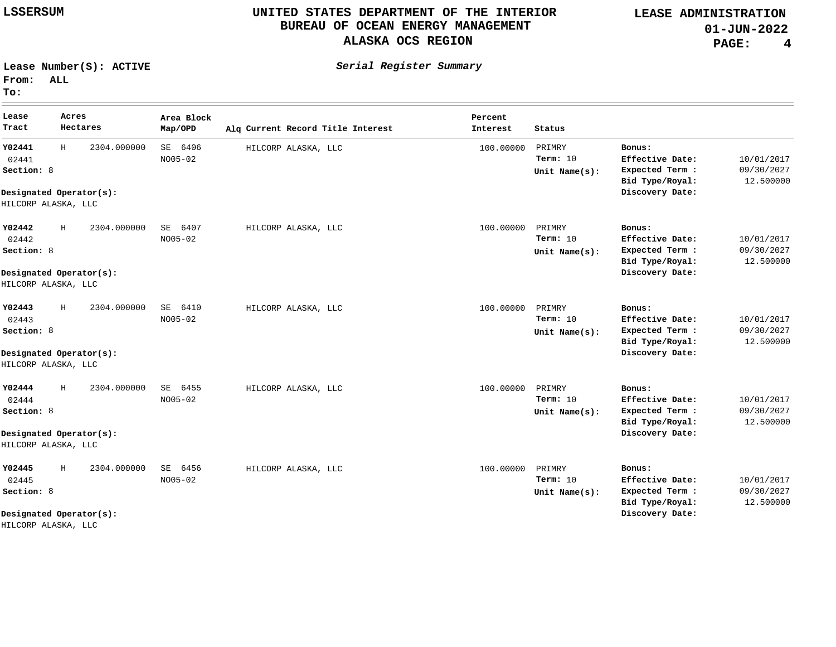**LEASE ADMINISTRATION 01-JUN-2022 PAGE: 4**

<u> 1989 - Andrea Santa Andrea Andrea Andrea Andrea Andrea Andrea Andrea Andrea Andrea Andrea Andrea Andrea Andr</u>

**Lease Number(S): ACTIVE**

**Serial Register Summary**

**From: ALL To:**

| Lease<br>Tract                                         | Acres<br>Hectares                               | Area Block<br>Map/OPD     | Alg Current Record Title Interest | Percent<br>Interest | Status                                    |                                                                                    |                                       |
|--------------------------------------------------------|-------------------------------------------------|---------------------------|-----------------------------------|---------------------|-------------------------------------------|------------------------------------------------------------------------------------|---------------------------------------|
| Y02441<br>02441<br>Section: 8<br>HILCORP ALASKA, LLC   | H<br>2304.000000<br>Designated Operator(s):     | SE 6406<br>$NO05 - 02$    | HILCORP ALASKA, LLC               | 100.00000           | PRIMRY<br>Term: $10$<br>Unit Name $(s)$ : | Bonus:<br>Effective Date:<br>Expected Term :<br>Bid Type/Royal:<br>Discovery Date: | 10/01/2017<br>09/30/2027<br>12.500000 |
| Y02442<br>02442<br>Section: 8<br>HILCORP ALASKA, LLC   | Н<br>2304.000000<br>Designated Operator(s):     | SE<br>6407<br>$NO05 - 02$ | HILCORP ALASKA, LLC               | 100.00000           | PRIMRY<br>Term: $10$<br>Unit Name $(s)$ : | Bonus:<br>Effective Date:<br>Expected Term :<br>Bid Type/Royal:<br>Discovery Date: | 10/01/2017<br>09/30/2027<br>12.500000 |
| Y02443<br>02443<br>Section: 8<br>HILCORP ALASKA, LLC   | H<br>2304.000000<br>Designated Operator(s):     | 6410<br>SE<br>$NO05 - 02$ | HILCORP ALASKA, LLC               | 100.00000           | PRIMRY<br>Term: 10<br>Unit Name $(s)$ :   | Bonus:<br>Effective Date:<br>Expected Term :<br>Bid Type/Royal:<br>Discovery Date: | 10/01/2017<br>09/30/2027<br>12.500000 |
| Y02444<br>02444<br>Section: 8<br>HILCORP ALASKA, LLC   | Н<br>2304.000000<br>Designated Operator(s):     | SE 6455<br>$NO05 - 02$    | HILCORP ALASKA, LLC               | 100.00000           | PRIMRY<br>Term: $10$<br>Unit Name $(s)$ : | Bonus:<br>Effective Date:<br>Expected Term :<br>Bid Type/Royal:<br>Discovery Date: | 10/01/2017<br>09/30/2027<br>12.500000 |
| Y02445<br>02445<br>Section: 8<br>TITT GODD TITQUTT TTQ | Н<br>2304.000000<br>Designated Operator $(s)$ : | 6456<br>SE<br>$NO05 - 02$ | HILCORP ALASKA, LLC               | 100,00000           | PRIMRY<br>Term: 10<br>Unit Name $(s)$ :   | Bonus:<br>Effective Date:<br>Expected Term :<br>Bid Type/Royal:<br>Discovery Date: | 10/01/2017<br>09/30/2027<br>12.500000 |

HILCORP ALASKA, LLC